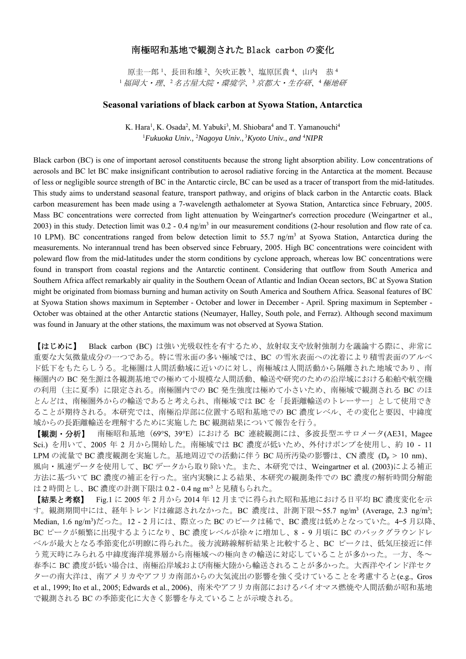## 南極昭和基地で観測された Black carbon の変化

原圭一郎 1、長田和雄 2、矢吹正教 3、塩原匡貴 4、山内 恭 4 1福岡大・理、2名古屋大院・環境学、3京都大・生存研、4極地研

## **Seasonal variations of black carbon at Syowa Station, Antarctica**

K. Hara<sup>1</sup>, K. Osada<sup>2</sup>, M. Yabuki<sup>3</sup>, M. Shiobara<sup>4</sup> and T. Yamanouchi<sup>4</sup> <sup>1</sup>Fukuoka Univ., <sup>2</sup>Nagoya Univ., <sup>3</sup>Kyoto Univ., and <sup>4</sup>NIPR

Black carbon (BC) is one of important aerosol constituents because the strong light absorption ability. Low concentrations of aerosols and BC let BC make insignificant contribution to aerosol radiative forcing in the Antarctica at the moment. Because of less or negligible source strength of BC in the Antarctic circle, BC can be used as a tracer of transport from the mid-latitudes. This study aims to understand seasonal feature, transport pathway, and origins of black carbon in the Antarctic coats. Black carbon measurement has been made using a 7-wavelength aethalometer at Syowa Station, Antarctica since February, 2005. Mass BC concentrations were corrected from light attenuation by Weingartner's correction procedure (Weingartner et al., 2003) in this study. Detection limit was  $0.2 - 0.4$  ng/m<sup>3</sup> in our measurement conditions (2-hour resolution and flow rate of ca. 10 LPM). BC concentrations ranged from below detection limit to 55.7 ng/m<sup>3</sup> at Syowa Station, Antarctica during the measurements. No interannual trend has been observed since February, 2005. High BC concentrations were coincident with poleward flow from the mid-latitudes under the storm conditions by cyclone approach, whereas low BC concentrations were found in transport from coastal regions and the Antarctic continent. Considering that outflow from South America and Southern Africa affect remarkably air quality in the Southern Ocean of Atlantic and Indian Ocean sectors, BC at Syowa Station might be originated from biomass burning and human activity on South America and Southern Africa. Seasonal features of BC at Syowa Station shows maximum in September - October and lower in December - April. Spring maximum in September - October was obtained at the other Antarctic stations (Neumayer, Halley, South pole, and Ferraz). Although second maximum was found in January at the other stations, the maximum was not observed at Syowa Station.

【はじめに】 Black carbon (BC) は強い光吸収性を有するため、放射収支や放射強制力を議論する際に、非常に 重要な大気微量成分の一つである。特に雪氷面の多い極域では、BC の雪氷表面への沈着により積雪表面のアルベ ド低下をもたらしうる。北極圏は人間活動域に近いのに対し、南極域は人間活動から隔離された地域であり、南 極圏内の BC 発生源は各観測基地での極めて小規模な人間活動、輸送や研究のための沿岸域における船舶や航空機 の利用(主に夏季)に限定される。南極圏内での BC 発生強度は極めて小さいため、南極域で観測される BC のほ とんどは、南極圏外からの輸送であると考えられ、南極域では BC を「長距離輸送のトレーサー」として使用でき ることが期待される。本研究では、南極沿岸部に位置する昭和基地での BC 濃度レベル、その変化と要因、中緯度 域からの長距離輸送を理解するために実施した BC 観測結果について報告を行う。

【観測・分析】 南極昭和基地 (69°S, 39°E) における BC 連続観測には、多波長型エサロメータ(AE31, Magee Sci.) を用いて、2005 年 2 月から開始した。南極域では BC 濃度が低いため、外付けポンプを使用し、約 10 - 11 LPM の流量で BC 濃度観測を実施した。基地周辺での活動に伴う BC 局所汚染の影響は、CN 濃度 (Dp > 10 nm)、 風向・風速データを使用して、BC データから取り除いた。また、本研究では、Weingartner et al. (2003)による補正 方法に基づいて BC 濃度の補正を行った。室内実験による結果、本研究の観測条件での BC 濃度の解析時間分解能 は 2 時間とし、BC 濃度の計測下限は 0.2 - 0.4 ng m-3 と見積もられた。

【結果と考察】 Fig.1 に 2005 年 2 月から 2014 年 12 月までに得られた昭和基地における日平均 BC 濃度変化を示 す。観測期間中には、経年トレンドは確認されなかった。BC 濃度は、計測下限~55.7 ng/m<sup>3</sup> (Average, 2.3 ng/m<sup>3</sup>; Median, 1.6 ng/m3 )だった。12 - 2 月には、際立った BC のピークは稀で、BC 濃度は低めとなっていた。4—5 月以降、 BC ピークが頻繁に出現するようになり、BC 濃度レベルが徐々に増加し、8 - 9 月頃に BC のバックグラウンドレ ベルが最大となる季節変化が明瞭に得られた。後方流跡線解析結果と比較すると、BC ピークは、低気圧接近に伴 う荒天時にみられる中緯度海洋境界層から南極域への極向きの輸送に対応していることが多かった。一方、冬~ 春季に BC 濃度が低い場合は、南極沿岸域および南極大陸から輸送されることが多かった。大西洋やインド洋セク ターの南大洋は、南アメリカやアフリカ南部からの大気流出の影響を強く受けていることを考慮すると(e.g., Gros et al., 1999; Ito et al., 2005; Edwards et al., 2006)、南米やアフリカ南部におけるバイオマス燃焼や人間活動が昭和基地 で観測される BC の季節変化に大きく影響を与えていることが示唆される。